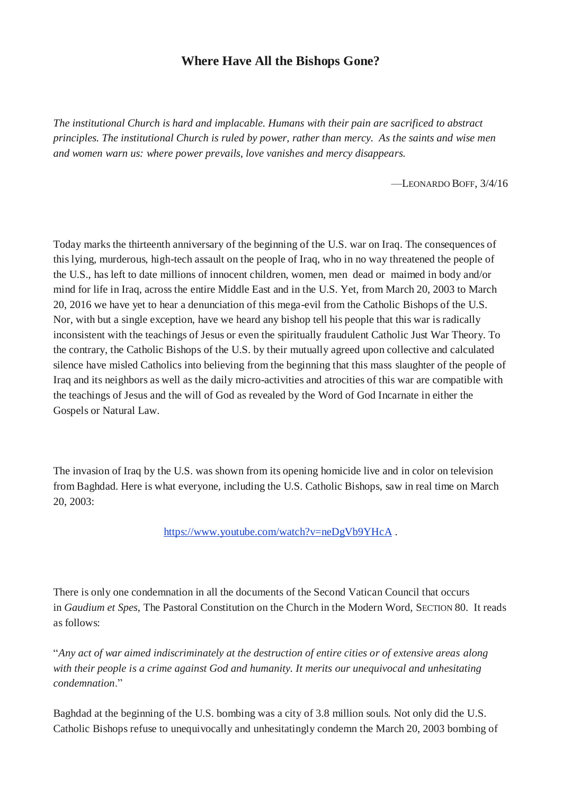## **Where Have All the Bishops Gone?**

*The institutional Church is hard and implacable. Humans with their pain are sacrificed to abstract principles. The institutional Church is ruled by power, rather than mercy. As the saints and wise men and women warn us: where power prevails, love vanishes and mercy disappears.*

—LEONARDO BOFF, 3/4/16

Today marks the thirteenth anniversary of the beginning of the U.S. war on Iraq. The consequences of this lying, murderous, high-tech assault on the people of Iraq, who in no way threatened the people of the U.S., has left to date millions of innocent children, women, men dead or maimed in body and/or mind for life in Iraq, across the entire Middle East and in the U.S. Yet, from March 20, 2003 to March 20, 2016 we have yet to hear a denunciation of this mega-evil from the Catholic Bishops of the U.S. Nor, with but a single exception, have we heard any bishop tell his people that this war is radically inconsistent with the teachings of Jesus or even the spiritually fraudulent Catholic Just War Theory. To the contrary, the Catholic Bishops of the U.S. by their mutually agreed upon collective and calculated silence have misled Catholics into believing from the beginning that this mass slaughter of the people of Iraq and its neighbors as well as the daily micro-activities and atrocities of this war are compatible with the teachings of Jesus and the will of God as revealed by the Word of God Incarnate in either the Gospels or Natural Law.

The invasion of Iraq by the U.S. was shown from its opening homicide live and in color on television from Baghdad. Here is what everyone, including the U.S. Catholic Bishops, saw in real time on March 20, 2003:

<https://www.youtube.com/watch?v=neDgVb9YHcA> .

There is only one condemnation in all the documents of the Second Vatican Council that occurs in *Gaudium et Spes*, The Pastoral Constitution on the Church in the Modern Word, SECTION 80. It reads as follows:

"*Any act of war aimed indiscriminately at the destruction of entire cities or of extensive areas along with their people is a crime against God and humanity. It merits our unequivocal and unhesitating condemnation*."

Baghdad at the beginning of the U.S. bombing was a city of 3.8 million souls. Not only did the U.S. Catholic Bishops refuse to unequivocally and unhesitatingly condemn the March 20, 2003 bombing of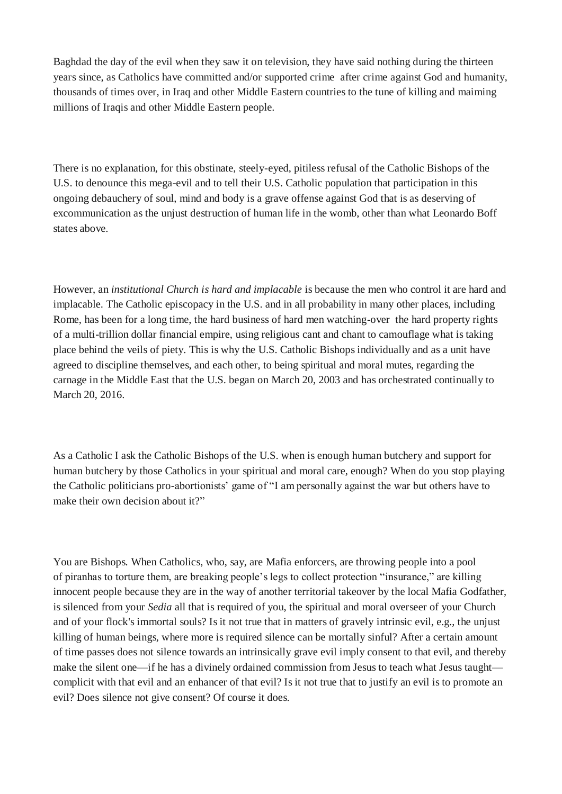Baghdad the day of the evil when they saw it on television, they have said nothing during the thirteen years since, as Catholics have committed and/or supported crime after crime against God and humanity, thousands of times over, in Iraq and other Middle Eastern countries to the tune of killing and maiming millions of Iraqis and other Middle Eastern people.

There is no explanation, for this obstinate, steely-eyed, pitiless refusal of the Catholic Bishops of the U.S. to denounce this mega-evil and to tell their U.S. Catholic population that participation in this ongoing debauchery of soul, mind and body is a grave offense against God that is as deserving of excommunication as the unjust destruction of human life in the womb, other than what Leonardo Boff states above.

However, an *institutional Church is hard and implacable* is because the men who control it are hard and implacable. The Catholic episcopacy in the U.S. and in all probability in many other places, including Rome, has been for a long time, the hard business of hard men watching-over the hard property rights of a multi-trillion dollar financial empire, using religious cant and chant to camouflage what is taking place behind the veils of piety. This is why the U.S. Catholic Bishops individually and as a unit have agreed to discipline themselves, and each other, to being spiritual and moral mutes, regarding the carnage in the Middle East that the U.S. began on March 20, 2003 and has orchestrated continually to March 20, 2016.

As a Catholic I ask the Catholic Bishops of the U.S. when is enough human butchery and support for human butchery by those Catholics in your spiritual and moral care, enough? When do you stop playing the Catholic politicians pro-abortionists' game of "I am personally against the war but others have to make their own decision about it?"

You are Bishops. When Catholics, who, say, are Mafia enforcers, are throwing people into a pool of piranhas to torture them, are breaking people's legs to collect protection "insurance," are killing innocent people because they are in the way of another territorial takeover by the local Mafia Godfather, is silenced from your *Sedia* all that is required of you, the spiritual and moral overseer of your Church and of your flock's immortal souls? Is it not true that in matters of gravely intrinsic evil, e.g., the unjust killing of human beings, where more is required silence can be mortally sinful? After a certain amount of time passes does not silence towards an intrinsically grave evil imply consent to that evil, and thereby make the silent one—if he has a divinely ordained commission from Jesus to teach what Jesus taught complicit with that evil and an enhancer of that evil? Is it not true that to justify an evil is to promote an evil? Does silence not give consent? Of course it does.